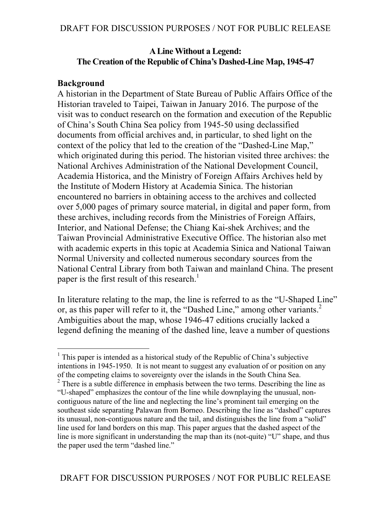### **A Line Without a Legend: The Creation of the Republic of China's Dashed-Line Map, 1945-47**

### **Background**

 $\overline{a}$ 

A historian in the Department of State Bureau of Public Affairs Office of the Historian traveled to Taipei, Taiwan in January 2016. The purpose of the visit was to conduct research on the formation and execution of the Republic of China's South China Sea policy from 1945-50 using declassified documents from official archives and, in particular, to shed light on the context of the policy that led to the creation of the "Dashed-Line Map," which originated during this period. The historian visited three archives: the National Archives Administration of the National Development Council, Academia Historica, and the Ministry of Foreign Affairs Archives held by the Institute of Modern History at Academia Sinica. The historian encountered no barriers in obtaining access to the archives and collected over 5,000 pages of primary source material, in digital and paper form, from these archives, including records from the Ministries of Foreign Affairs, Interior, and National Defense; the Chiang Kai-shek Archives; and the Taiwan Provincial Administrative Executive Office. The historian also met with academic experts in this topic at Academia Sinica and National Taiwan Normal University and collected numerous secondary sources from the National Central Library from both Taiwan and mainland China. The present paper is the first result of this research.<sup>1</sup>

In literature relating to the map, the line is referred to as the "U-Shaped Line" or, as this paper will refer to it, the "Dashed Line," among other variants.<sup>2</sup> Ambiguities about the map, whose 1946-47 editions crucially lacked a legend defining the meaning of the dashed line, leave a number of questions

 $<sup>1</sup>$  This paper is intended as a historical study of the Republic of China's subjective</sup> intentions in 1945-1950. It is not meant to suggest any evaluation of or position on any of the competing claims to sovereignty over the islands in the South China Sea. <sup>2</sup> There is a subtle difference in emphasis between the two terms. Describing the line as

<sup>&</sup>quot;U-shaped" emphasizes the contour of the line while downplaying the unusual, noncontiguous nature of the line and neglecting the line's prominent tail emerging on the southeast side separating Palawan from Borneo. Describing the line as "dashed" captures its unusual, non-contiguous nature and the tail, and distinguishes the line from a "solid" line used for land borders on this map. This paper argues that the dashed aspect of the line is more significant in understanding the map than its (not-quite) "U" shape, and thus the paper used the term "dashed line."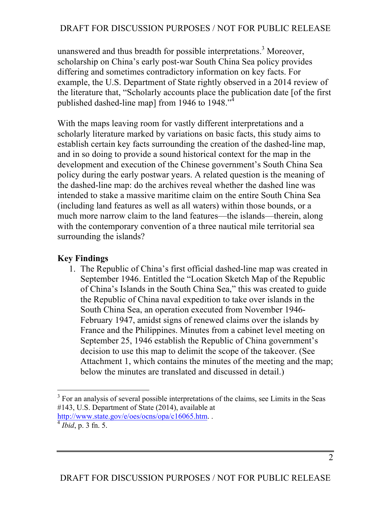unanswered and thus breadth for possible interpretations.<sup>3</sup> Moreover, scholarship on China's early post-war South China Sea policy provides differing and sometimes contradictory information on key facts. For example, the U.S. Department of State rightly observed in a 2014 review of the literature that, "Scholarly accounts place the publication date [of the first published dashed-line map] from 1946 to 1948. $\cdot$ <sup>3</sup>

With the maps leaving room for vastly different interpretations and a scholarly literature marked by variations on basic facts, this study aims to establish certain key facts surrounding the creation of the dashed-line map, and in so doing to provide a sound historical context for the map in the development and execution of the Chinese government's South China Sea policy during the early postwar years. A related question is the meaning of the dashed-line map: do the archives reveal whether the dashed line was intended to stake a massive maritime claim on the entire South China Sea (including land features as well as all waters) within those bounds, or a much more narrow claim to the land features—the islands—therein, along with the contemporary convention of a three nautical mile territorial sea surrounding the islands?

### **Key Findings**

1. The Republic of China's first official dashed-line map was created in September 1946. Entitled the "Location Sketch Map of the Republic of China's Islands in the South China Sea," this was created to guide the Republic of China naval expedition to take over islands in the South China Sea, an operation executed from November 1946- February 1947, amidst signs of renewed claims over the islands by France and the Philippines. Minutes from a cabinet level meeting on September 25, 1946 establish the Republic of China government's decision to use this map to delimit the scope of the takeover. (See Attachment 1, which contains the minutes of the meeting and the map; below the minutes are translated and discussed in detail.)

 $\overline{a}$  $3$  For an analysis of several possible interpretations of the claims, see Limits in the Seas #143, U.S. Department of State (2014), available at http://www.state.gov/e/oes/ocns/opa/c16065.htm. . <sup>4</sup> *Ibid*, p. 3 fn. 5.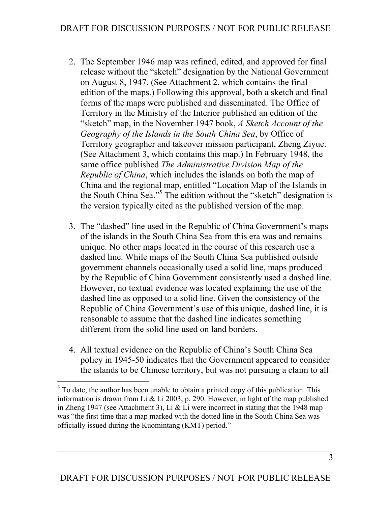- 2. The September 1946 map was refined, edited, and approved for final release without the "sketch" designation by the National Government on August 8, 1947. (See Attachment 2, which contains the final edition of the maps.) Following this approval, both a sketch and final forms of the maps were published and disseminated. The Office of Territory in the Ministry of the Interior published an edition of the "sketch" map, in the November 1947 book, *A Sketch Account of the Geography of the Islands in the South China Sea*, by Office of Territory geographer and takeover mission participant, Zheng Ziyue. (See Attachment 3, which contains this map.) In February 1948, the same office published *The Administrative Division Map of the Republic of China*, which includes the islands on both the map of China and the regional map, entitled "Location Map of the Islands in the South China Sea."5 The edition without the "sketch" designation is the version typically cited as the published version of the map.
- 3. The "dashed" line used in the Republic of China Government's maps of the islands in the South China Sea from this era was and remains unique. No other maps located in the course of this research use a dashed line. While maps of the South China Sea published outside government channels occasionally used a solid line, maps produced by the Republic of China Government consistently used a dashed line. However, no textual evidence was located explaining the use of the dashed line as opposed to a solid line. Given the consistency of the Republic of China Government's use of this unique, dashed line, it is reasonable to assume that the dashed line indicates something different from the solid line used on land borders.
- 4. All textual evidence on the Republic of China's South China Sea policy in 1945-50 indicates that the Government appeared to consider the islands to be Chinese territory, but was not pursuing a claim to all

 $<sup>5</sup>$  To date, the author has been unable to obtain a printed copy of this publication. This</sup> information is drawn from Li & Li 2003, p. 290. However, in light of the map published in Zheng 1947 (see Attachment 3), Li & Li were incorrect in stating that the 1948 map was "the first time that a map marked with the dotted line in the South China Sea was officially issued during the Kuomintang (KMT) period."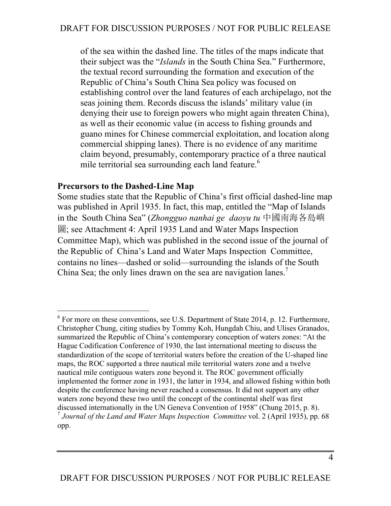of the sea within the dashed line. The titles of the maps indicate that their subject was the "*Islands* in the South China Sea." Furthermore, the textual record surrounding the formation and execution of the Republic of China's South China Sea policy was focused on establishing control over the land features of each archipelago, not the seas joining them. Records discuss the islands' military value (in denying their use to foreign powers who might again threaten China), as well as their economic value (in access to fishing grounds and guano mines for Chinese commercial exploitation, and location along commercial shipping lanes). There is no evidence of any maritime claim beyond, presumably, contemporary practice of a three nautical mile territorial sea surrounding each land feature. 6

### **Precursors to the Dashed-Line Map**

 $\overline{a}$ 

Some studies state that the Republic of China's first official dashed-line map was published in April 1935. In fact, this map, entitled the "Map of Islands in the South China Sea" (*Zhongguo nanhai ge daoyu tu* 中國南海各島嶼 圖; see Attachment 4: April 1935 Land and Water Maps Inspection Committee Map), which was published in the second issue of the journal of the Republic of China's Land and Water Maps Inspection Committee, contains no lines—dashed or solid—surrounding the islands of the South China Sea; the only lines drawn on the sea are navigation lanes.<sup>7</sup>

 $6$  For more on these conventions, see U.S. Department of State 2014, p. 12. Furthermore, Christopher Chung, citing studies by Tommy Koh, Hungdah Chiu, and Ulises Granados, summarized the Republic of China's contemporary conception of waters zones: "At the Hague Codification Conference of 1930, the last international meeting to discuss the standardization of the scope of territorial waters before the creation of the U-shaped line maps, the ROC supported a three nautical mile territorial waters zone and a twelve nautical mile contiguous waters zone beyond it. The ROC government officially implemented the former zone in 1931, the latter in 1934, and allowed fishing within both despite the conference having never reached a consensus. It did not support any other waters zone beyond these two until the concept of the continental shelf was first discussed internationally in the UN Geneva Convention of 1958" (Chung 2015, p. 8). <sup>7</sup> *Journal of the Land and Water Maps Inspection Committee* vol. 2 (April 1935), pp. 68 opp.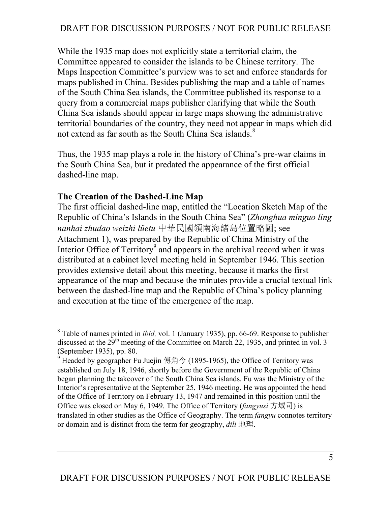While the 1935 map does not explicitly state a territorial claim, the Committee appeared to consider the islands to be Chinese territory. The Maps Inspection Committee's purview was to set and enforce standards for maps published in China. Besides publishing the map and a table of names of the South China Sea islands, the Committee published its response to a query from a commercial maps publisher clarifying that while the South China Sea islands should appear in large maps showing the administrative territorial boundaries of the country, they need not appear in maps which did not extend as far south as the South China Sea islands.<sup>8</sup>

Thus, the 1935 map plays a role in the history of China's pre-war claims in the South China Sea, but it predated the appearance of the first official dashed-line map.

### **The Creation of the Dashed-Line Map**

 $\overline{a}$ 

The first official dashed-line map, entitled the "Location Sketch Map of the Republic of China's Islands in the South China Sea" (*Zhonghua minguo ling nanhai zhudao weizhi lüetu* 中華民國領南海諸島位置略圖; see Attachment 1), was prepared by the Republic of China Ministry of the Interior Office of  $T$ erritory<sup>9</sup> and appears in the archival record when it was distributed at a cabinet level meeting held in September 1946. This section provides extensive detail about this meeting, because it marks the first appearance of the map and because the minutes provide a crucial textual link between the dashed-line map and the Republic of China's policy planning and execution at the time of the emergence of the map.

<sup>8</sup> Table of names printed in *ibid,* vol. 1 (January 1935), pp. 66-69. Response to publisher discussed at the 29<sup>th</sup> meeting of the Committee on March 22, 1935, and printed in vol. 3 (September 1935), pp. 80.

Headed by geographer Fu Juejin 傅角今 (1895-1965), the Office of Territory was established on July 18, 1946, shortly before the Government of the Republic of China began planning the takeover of the South China Sea islands. Fu was the Ministry of the Interior's representative at the September 25, 1946 meeting. He was appointed the head of the Office of Territory on February 13, 1947 and remained in this position until the Office was closed on May 6, 1949. The Office of Territory (*fangyusi* 方域司) is translated in other studies as the Office of Geography. The term *fangyu* connotes territory or domain and is distinct from the term for geography, *dili* 地理.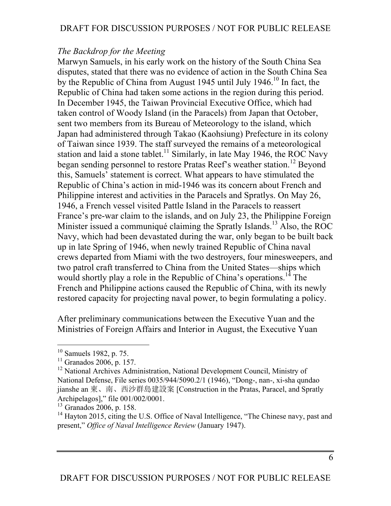### *The Backdrop for the Meeting*

Marwyn Samuels, in his early work on the history of the South China Sea disputes, stated that there was no evidence of action in the South China Sea by the Republic of China from August 1945 until July 1946.<sup>10</sup> In fact, the Republic of China had taken some actions in the region during this period. In December 1945, the Taiwan Provincial Executive Office, which had taken control of Woody Island (in the Paracels) from Japan that October, sent two members from its Bureau of Meteorology to the island, which Japan had administered through Takao (Kaohsiung) Prefecture in its colony of Taiwan since 1939. The staff surveyed the remains of a meteorological station and laid a stone tablet.<sup>11</sup> Similarly, in late May 1946, the ROC Navy began sending personnel to restore Pratas Reef's weather station.<sup>12</sup> Beyond this, Samuels' statement is correct. What appears to have stimulated the Republic of China's action in mid-1946 was its concern about French and Philippine interest and activities in the Paracels and Spratlys. On May 26, 1946, a French vessel visited Pattle Island in the Paracels to reassert France's pre-war claim to the islands, and on July 23, the Philippine Foreign Minister issued a communiqué claiming the Spratly Islands.<sup>13</sup> Also, the ROC Navy, which had been devastated during the war, only began to be built back up in late Spring of 1946, when newly trained Republic of China naval crews departed from Miami with the two destroyers, four minesweepers, and two patrol craft transferred to China from the United States—ships which would shortly play a role in the Republic of China's operations.<sup>14</sup> The French and Philippine actions caused the Republic of China, with its newly restored capacity for projecting naval power, to begin formulating a policy.

After preliminary communications between the Executive Yuan and the Ministries of Foreign Affairs and Interior in August, the Executive Yuan

<sup>10</sup> Samuels 1982, p. 75.

 $11$  Granados 2006, p. 157.

<sup>&</sup>lt;sup>12</sup> National Archives Administration, National Development Council, Ministry of National Defense, File series 0035/944/5090.2/1 (1946), "Dong-, nan-, xi-sha qundao jianshe an 東、南、西沙群島建設案 [Construction in the Pratas, Paracel, and Spratly Archipelagos]," file 001/002/0001.

 $13$  Granados 2006, p. 158.

<sup>&</sup>lt;sup>14</sup> Hayton 2015, citing the U.S. Office of Naval Intelligence, "The Chinese navy, past and present," *Office of Naval Intelligence Review* (January 1947).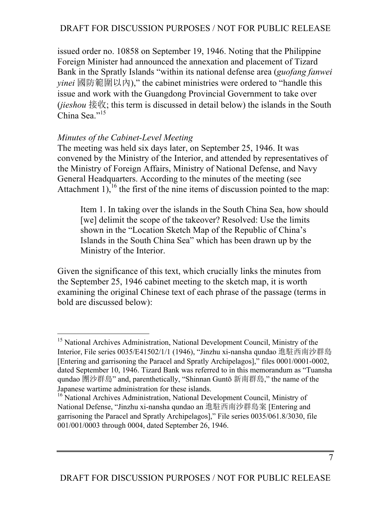issued order no. 10858 on September 19, 1946. Noting that the Philippine Foreign Minister had announced the annexation and placement of Tizard Bank in the Spratly Islands "within its national defense area (*guofang fanwei yinei* 國防範圍以內)," the cabinet ministries were ordered to "handle this issue and work with the Guangdong Provincial Government to take over (*jieshou* 接收; this term is discussed in detail below) the islands in the South China Sea."<sup>15</sup>

#### *Minutes of the Cabinet-Level Meeting*

 $\overline{a}$ 

The meeting was held six days later, on September 25, 1946. It was convened by the Ministry of the Interior, and attended by representatives of the Ministry of Foreign Affairs, Ministry of National Defense, and Navy General Headquarters. According to the minutes of the meeting (see Attachment 1),<sup>16</sup> the first of the nine items of discussion pointed to the map:

Item 1. In taking over the islands in the South China Sea, how should [we] delimit the scope of the takeover? Resolved: Use the limits shown in the "Location Sketch Map of the Republic of China's Islands in the South China Sea" which has been drawn up by the Ministry of the Interior.

Given the significance of this text, which crucially links the minutes from the September 25, 1946 cabinet meeting to the sketch map, it is worth examining the original Chinese text of each phrase of the passage (terms in bold are discussed below):

<sup>&</sup>lt;sup>15</sup> National Archives Administration, National Development Council, Ministry of the Interior, File series 0035/E41502/1/1 (1946), "Jinzhu xi-nansha qundao 進駐西南沙群島 [Entering and garrisoning the Paracel and Spratly Archipelagos]," files 0001/0001-0002, dated September 10, 1946. Tizard Bank was referred to in this memorandum as "Tuansha qundao 團沙群島" and, parenthetically, "Shinnan Guntō 新南群島," the name of the Japanese wartime administration for these islands.

<sup>&</sup>lt;sup>16</sup> National Archives Administration, National Development Council, Ministry of National Defense, "Jinzhu xi-nansha qundao an 進駐西南沙群島案 [Entering and garrisoning the Paracel and Spratly Archipelagos]," File series 0035/061.8/3030, file 001/001/0003 through 0004, dated September 26, 1946.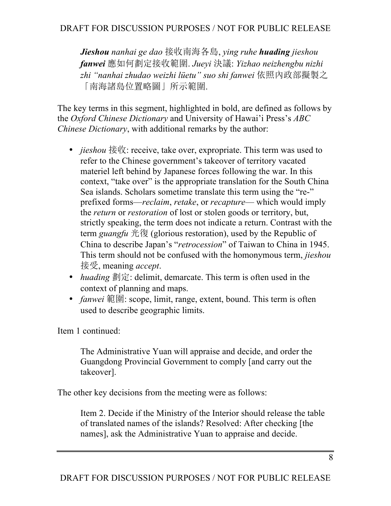*Jieshou nanhai ge dao* 接收南海各島, *ying ruhe huading jieshou fanwei* 應如何劃定接收範圍. *Jueyi* 決議: *Yizhao neizhengbu nizhi zhi "nanhai zhudao weizhi lüetu" suo shi fanwei* 依照內政部擬製之 「南海諸島位置略圖」所示範圍.

The key terms in this segment, highlighted in bold, are defined as follows by the *Oxford Chinese Dictionary* and University of Hawai'i Press's *ABC Chinese Dictionary*, with additional remarks by the author:

- *jieshou* 接收: receive, take over, expropriate. This term was used to refer to the Chinese government's takeover of territory vacated materiel left behind by Japanese forces following the war. In this context, "take over" is the appropriate translation for the South China Sea islands. Scholars sometime translate this term using the "re-" prefixed forms—*reclaim*, *retake*, or *recapture*— which would imply the *return* or *restoration* of lost or stolen goods or territory, but, strictly speaking, the term does not indicate a return. Contrast with the term *guangfu* 光復 (glorious restoration), used by the Republic of China to describe Japan's "*retrocession*" of Taiwan to China in 1945. This term should not be confused with the homonymous term, *jieshou* 接受, meaning *accept*.
- *huading* 劃定: delimit, demarcate. This term is often used in the context of planning and maps.
- *fanwei* 範圍: scope, limit, range, extent, bound. This term is often used to describe geographic limits.

Item 1 continued:

The Administrative Yuan will appraise and decide, and order the Guangdong Provincial Government to comply [and carry out the takeover].

The other key decisions from the meeting were as follows:

Item 2. Decide if the Ministry of the Interior should release the table of translated names of the islands? Resolved: After checking [the names], ask the Administrative Yuan to appraise and decide.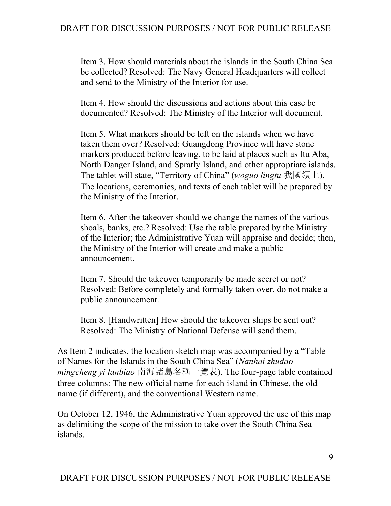Item 3. How should materials about the islands in the South China Sea be collected? Resolved: The Navy General Headquarters will collect and send to the Ministry of the Interior for use.

Item 4. How should the discussions and actions about this case be documented? Resolved: The Ministry of the Interior will document.

Item 5. What markers should be left on the islands when we have taken them over? Resolved: Guangdong Province will have stone markers produced before leaving, to be laid at places such as Itu Aba, North Danger Island, and Spratly Island, and other appropriate islands. The tablet will state, "Territory of China" (*woguo lingtu* 我國領土). The locations, ceremonies, and texts of each tablet will be prepared by the Ministry of the Interior.

Item 6. After the takeover should we change the names of the various shoals, banks, etc.? Resolved: Use the table prepared by the Ministry of the Interior; the Administrative Yuan will appraise and decide; then, the Ministry of the Interior will create and make a public announcement.

Item 7. Should the takeover temporarily be made secret or not? Resolved: Before completely and formally taken over, do not make a public announcement.

Item 8. [Handwritten] How should the takeover ships be sent out? Resolved: The Ministry of National Defense will send them.

As Item 2 indicates, the location sketch map was accompanied by a "Table of Names for the Islands in the South China Sea" (*Nanhai zhudao mingcheng yi lanbiao* 南海諸島名稱一覽表). The four-page table contained three columns: The new official name for each island in Chinese, the old name (if different), and the conventional Western name.

On October 12, 1946, the Administrative Yuan approved the use of this map as delimiting the scope of the mission to take over the South China Sea islands.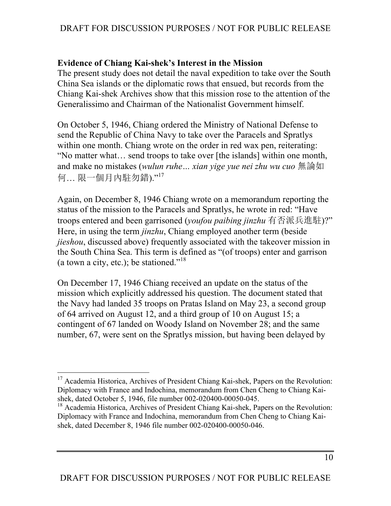### **Evidence of Chiang Kai-shek's Interest in the Mission**

The present study does not detail the naval expedition to take over the South China Sea islands or the diplomatic rows that ensued, but records from the Chiang Kai-shek Archives show that this mission rose to the attention of the Generalissimo and Chairman of the Nationalist Government himself.

On October 5, 1946, Chiang ordered the Ministry of National Defense to send the Republic of China Navy to take over the Paracels and Spratlys within one month. Chiang wrote on the order in red wax pen, reiterating: "No matter what… send troops to take over [the islands] within one month, and make no mistakes (*wulun ruhe… xian yige yue nei zhu wu cuo* 無論如 何… 限一個月內駐勿錯)." 17

Again, on December 8, 1946 Chiang wrote on a memorandum reporting the status of the mission to the Paracels and Spratlys, he wrote in red: "Have troops entered and been garrisoned (*youfou paibing jinzhu* 有否派兵進駐)?" Here, in using the term *jinzhu*, Chiang employed another term (beside *jieshou*, discussed above) frequently associated with the takeover mission in the South China Sea. This term is defined as "(of troops) enter and garrison (a town a city, etc.); be stationed."<sup>18</sup>

On December 17, 1946 Chiang received an update on the status of the mission which explicitly addressed his question. The document stated that the Navy had landed 35 troops on Pratas Island on May 23, a second group of 64 arrived on August 12, and a third group of 10 on August 15; a contingent of 67 landed on Woody Island on November 28; and the same number, 67, were sent on the Spratlys mission, but having been delayed by

 $\overline{a}$ <sup>17</sup> Academia Historica, Archives of President Chiang Kai-shek, Papers on the Revolution: Diplomacy with France and Indochina, memorandum from Chen Cheng to Chiang Kaishek, dated October 5, 1946, file number 002-020400-00050-045.

<sup>&</sup>lt;sup>18</sup> Academia Historica, Archives of President Chiang Kai-shek, Papers on the Revolution: Diplomacy with France and Indochina, memorandum from Chen Cheng to Chiang Kaishek, dated December 8, 1946 file number 002-020400-00050-046.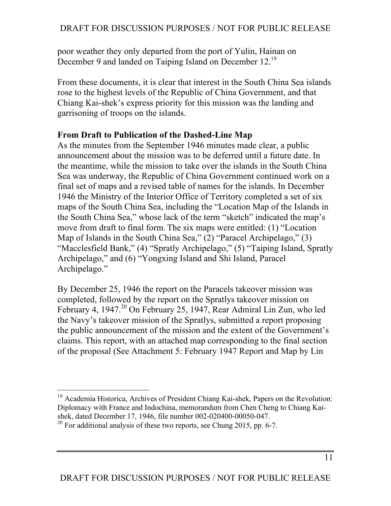poor weather they only departed from the port of Yulin, Hainan on December 9 and landed on Taiping Island on December 12.<sup>19</sup>

From these documents, it is clear that interest in the South China Sea islands rose to the highest levels of the Republic of China Government, and that Chiang Kai-shek's express priority for this mission was the landing and garrisoning of troops on the islands.

### **From Draft to Publication of the Dashed-Line Map**

As the minutes from the September 1946 minutes made clear, a public announcement about the mission was to be deferred until a future date. In the meantime, while the mission to take over the islands in the South China Sea was underway, the Republic of China Government continued work on a final set of maps and a revised table of names for the islands. In December 1946 the Ministry of the Interior Office of Territory completed a set of six maps of the South China Sea, including the "Location Map of the Islands in the South China Sea," whose lack of the term "sketch" indicated the map's move from draft to final form. The six maps were entitled: (1) "Location Map of Islands in the South China Sea," (2) "Paracel Archipelago," (3) "Macclesfield Bank," (4) "Spratly Archipelago," (5) "Taiping Island, Spratly Archipelago," and (6) "Yongxing Island and Shi Island, Paracel Archipelago."

By December 25, 1946 the report on the Paracels takeover mission was completed, followed by the report on the Spratlys takeover mission on February 4, 1947.<sup>20</sup> On February 25, 1947, Rear Admiral Lin Zun, who led the Navy's takeover mission of the Spratlys, submitted a report proposing the public announcement of the mission and the extent of the Government's claims. This report, with an attached map corresponding to the final section of the proposal (See Attachment 5: February 1947 Report and Map by Lin

<sup>&</sup>lt;sup>19</sup> Academia Historica, Archives of President Chiang Kai-shek, Papers on the Revolution: Diplomacy with France and Indochina, memorandum from Chen Cheng to Chiang Kaishek, dated December 17, 1946, file number 002-020400-00050-047.

 $^{20}$  For additional analysis of these two reports, see Chung 2015, pp. 6-7.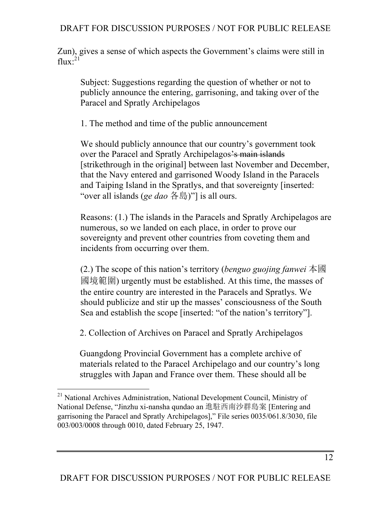Zun), gives a sense of which aspects the Government's claims were still in flux: $^{21}$ 

Subject: Suggestions regarding the question of whether or not to publicly announce the entering, garrisoning, and taking over of the Paracel and Spratly Archipelagos

1. The method and time of the public announcement

We should publicly announce that our country's government took over the Paracel and Spratly Archipelagos's main islands [strikethrough in the original] between last November and December, that the Navy entered and garrisoned Woody Island in the Paracels and Taiping Island in the Spratlys, and that sovereignty [inserted: "over all islands (*ge dao* 各島)"] is all ours.

Reasons: (1.) The islands in the Paracels and Spratly Archipelagos are numerous, so we landed on each place, in order to prove our sovereignty and prevent other countries from coveting them and incidents from occurring over them.

(2.) The scope of this nation's territory (*benguo guojing fanwei* 本國 國境範圍) urgently must be established. At this time, the masses of the entire country are interested in the Paracels and Spratlys. We should publicize and stir up the masses' consciousness of the South Sea and establish the scope [inserted: "of the nation's territory"].

2. Collection of Archives on Paracel and Spratly Archipelagos

Guangdong Provincial Government has a complete archive of materials related to the Paracel Archipelago and our country's long struggles with Japan and France over them. These should all be

 $\overline{a}$ <sup>21</sup> National Archives Administration, National Development Council, Ministry of National Defense, "Jinzhu xi-nansha qundao an 進駐西南沙群島案 [Entering and garrisoning the Paracel and Spratly Archipelagos]," File series 0035/061.8/3030, file 003/003/0008 through 0010, dated February 25, 1947.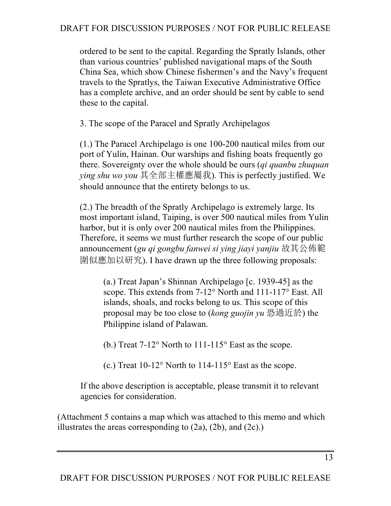ordered to be sent to the capital. Regarding the Spratly Islands, other than various countries' published navigational maps of the South China Sea, which show Chinese fishermen's and the Navy's frequent travels to the Spratlys, the Taiwan Executive Administrative Office has a complete archive, and an order should be sent by cable to send these to the capital.

3. The scope of the Paracel and Spratly Archipelagos

(1.) The Paracel Archipelago is one 100-200 nautical miles from our port of Yulin, Hainan. Our warships and fishing boats frequently go there. Sovereignty over the whole should be ours (*qi quanbu zhuquan ying shu wo you* 其全部主權應屬我). This is perfectly justified. We should announce that the entirety belongs to us.

(2.) The breadth of the Spratly Archipelago is extremely large. Its most important island, Taiping, is over 500 nautical miles from Yulin harbor, but it is only over 200 nautical miles from the Philippines. Therefore, it seems we must further research the scope of our public announcement (*gu qi gongbu fanwei si ying jiayi yanjiu* 故其公佈範 圍似應加以研究). I have drawn up the three following proposals:

(a.) Treat Japan's Shinnan Archipelago [c. 1939-45] as the scope. This extends from 7-12° North and 111-117° East. All islands, shoals, and rocks belong to us. This scope of this proposal may be too close to (*kong guojin yu* 恐過近於) the Philippine island of Palawan.

(b.) Treat 7-12° North to 111-115° East as the scope.

(c.) Treat 10-12° North to 114-115° East as the scope.

If the above description is acceptable, please transmit it to relevant agencies for consideration.

(Attachment 5 contains a map which was attached to this memo and which illustrates the areas corresponding to  $(2a)$ ,  $(2b)$ , and  $(2c)$ .)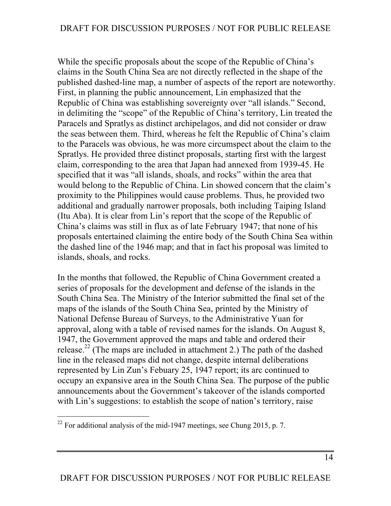While the specific proposals about the scope of the Republic of China's claims in the South China Sea are not directly reflected in the shape of the published dashed-line map, a number of aspects of the report are noteworthy. First, in planning the public announcement, Lin emphasized that the Republic of China was establishing sovereignty over "all islands." Second, in delimiting the "scope" of the Republic of China's territory, Lin treated the Paracels and Spratlys as distinct archipelagos, and did not consider or draw the seas between them. Third, whereas he felt the Republic of China's claim to the Paracels was obvious, he was more circumspect about the claim to the Spratlys. He provided three distinct proposals, starting first with the largest claim, corresponding to the area that Japan had annexed from 1939-45. He specified that it was "all islands, shoals, and rocks" within the area that would belong to the Republic of China. Lin showed concern that the claim's proximity to the Philippines would cause problems. Thus, he provided two additional and gradually narrower proposals, both including Taiping Island (Itu Aba). It is clear from Lin's report that the scope of the Republic of China's claims was still in flux as of late February 1947; that none of his proposals entertained claiming the entire body of the South China Sea within the dashed line of the 1946 map; and that in fact his proposal was limited to islands, shoals, and rocks.

In the months that followed, the Republic of China Government created a series of proposals for the development and defense of the islands in the South China Sea. The Ministry of the Interior submitted the final set of the maps of the islands of the South China Sea, printed by the Ministry of National Defense Bureau of Surveys, to the Administrative Yuan for approval, along with a table of revised names for the islands. On August 8, 1947, the Government approved the maps and table and ordered their release.<sup>22</sup> (The maps are included in attachment 2.) The path of the dashed line in the released maps did not change, despite internal deliberations represented by Lin Zun's Febuary 25, 1947 report; its arc continued to occupy an expansive area in the South China Sea. The purpose of the public announcements about the Government's takeover of the islands comported with Lin's suggestions: to establish the scope of nation's territory, raise

<sup>&</sup>lt;sup>22</sup> For additional analysis of the mid-1947 meetings, see Chung 2015, p. 7.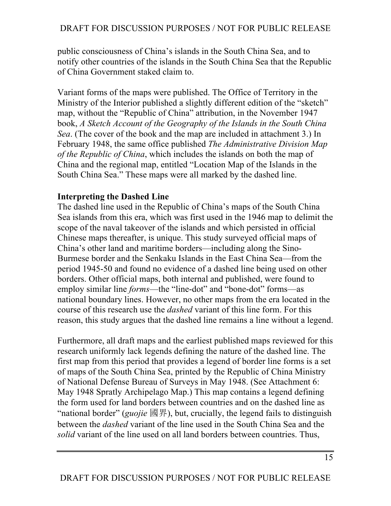public consciousness of China's islands in the South China Sea, and to notify other countries of the islands in the South China Sea that the Republic of China Government staked claim to.

Variant forms of the maps were published. The Office of Territory in the Ministry of the Interior published a slightly different edition of the "sketch" map, without the "Republic of China" attribution, in the November 1947 book, *A Sketch Account of the Geography of the Islands in the South China Sea*. (The cover of the book and the map are included in attachment 3.) In February 1948, the same office published *The Administrative Division Map of the Republic of China*, which includes the islands on both the map of China and the regional map, entitled "Location Map of the Islands in the South China Sea." These maps were all marked by the dashed line.

### **Interpreting the Dashed Line**

The dashed line used in the Republic of China's maps of the South China Sea islands from this era, which was first used in the 1946 map to delimit the scope of the naval takeover of the islands and which persisted in official Chinese maps thereafter, is unique. This study surveyed official maps of China's other land and maritime borders—including along the Sino-Burmese border and the Senkaku Islands in the East China Sea—from the period 1945-50 and found no evidence of a dashed line being used on other borders. Other official maps, both internal and published, were found to employ similar line *forms*—the "line-dot" and "bone-dot" forms—as national boundary lines. However, no other maps from the era located in the course of this research use the *dashed* variant of this line form. For this reason, this study argues that the dashed line remains a line without a legend.

Furthermore, all draft maps and the earliest published maps reviewed for this research uniformly lack legends defining the nature of the dashed line. The first map from this period that provides a legend of border line forms is a set of maps of the South China Sea, printed by the Republic of China Ministry of National Defense Bureau of Surveys in May 1948. (See Attachment 6: May 1948 Spratly Archipelago Map.) This map contains a legend defining the form used for land borders between countries and on the dashed line as "national border" (*guojie* 國界), but, crucially, the legend fails to distinguish between the *dashed* variant of the line used in the South China Sea and the *solid* variant of the line used on all land borders between countries. Thus,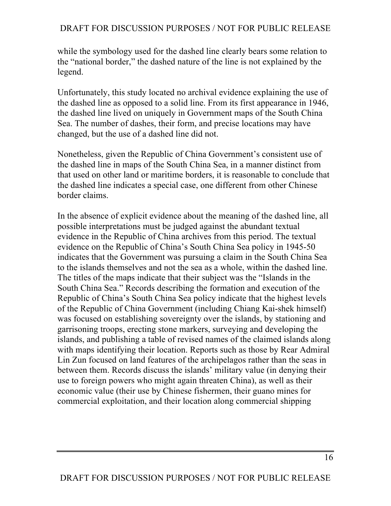while the symbology used for the dashed line clearly bears some relation to the "national border," the dashed nature of the line is not explained by the legend.

Unfortunately, this study located no archival evidence explaining the use of the dashed line as opposed to a solid line. From its first appearance in 1946, the dashed line lived on uniquely in Government maps of the South China Sea. The number of dashes, their form, and precise locations may have changed, but the use of a dashed line did not.

Nonetheless, given the Republic of China Government's consistent use of the dashed line in maps of the South China Sea, in a manner distinct from that used on other land or maritime borders, it is reasonable to conclude that the dashed line indicates a special case, one different from other Chinese border claims.

In the absence of explicit evidence about the meaning of the dashed line, all possible interpretations must be judged against the abundant textual evidence in the Republic of China archives from this period. The textual evidence on the Republic of China's South China Sea policy in 1945-50 indicates that the Government was pursuing a claim in the South China Sea to the islands themselves and not the sea as a whole, within the dashed line. The titles of the maps indicate that their subject was the "Islands in the South China Sea." Records describing the formation and execution of the Republic of China's South China Sea policy indicate that the highest levels of the Republic of China Government (including Chiang Kai-shek himself) was focused on establishing sovereignty over the islands, by stationing and garrisoning troops, erecting stone markers, surveying and developing the islands, and publishing a table of revised names of the claimed islands along with maps identifying their location. Reports such as those by Rear Admiral Lin Zun focused on land features of the archipelagos rather than the seas in between them. Records discuss the islands' military value (in denying their use to foreign powers who might again threaten China), as well as their economic value (their use by Chinese fishermen, their guano mines for commercial exploitation, and their location along commercial shipping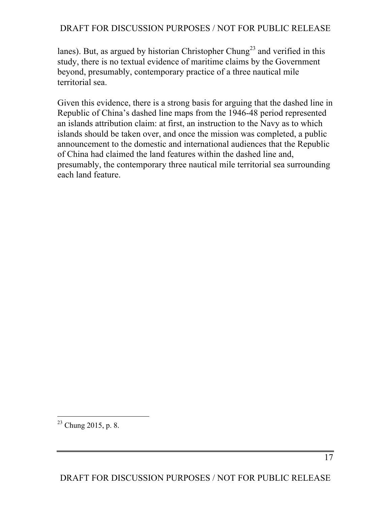lanes). But, as argued by historian Christopher Chung<sup>23</sup> and verified in this study, there is no textual evidence of maritime claims by the Government beyond, presumably, contemporary practice of a three nautical mile territorial sea.

Given this evidence, there is a strong basis for arguing that the dashed line in Republic of China's dashed line maps from the 1946-48 period represented an islands attribution claim: at first, an instruction to the Navy as to which islands should be taken over, and once the mission was completed, a public announcement to the domestic and international audiences that the Republic of China had claimed the land features within the dashed line and, presumably, the contemporary three nautical mile territorial sea surrounding each land feature.

 $\overline{a}$  $23$  Chung 2015, p. 8.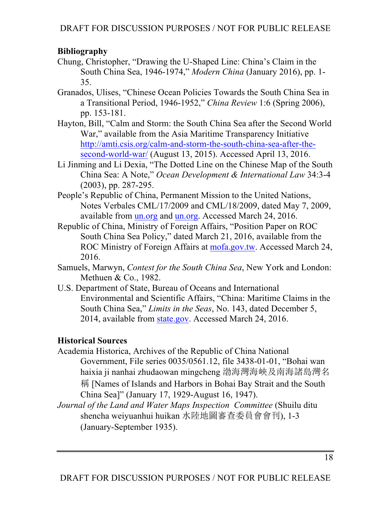# **Bibliography**

- Chung, Christopher, "Drawing the U-Shaped Line: China's Claim in the South China Sea, 1946-1974," *Modern China* (January 2016), pp. 1- 35.
- Granados, Ulises, "Chinese Ocean Policies Towards the South China Sea in a Transitional Period, 1946-1952," *China Review* 1:6 (Spring 2006), pp. 153-181.
- Hayton, Bill, "Calm and Storm: the South China Sea after the Second World War," available from the Asia Maritime Transparency Initiative http://amti.csis.org/calm-and-storm-the-south-china-sea-after-thesecond-world-war/ (August 13, 2015). Accessed April 13, 2016.
- Li Jinming and Li Dexia, "The Dotted Line on the Chinese Map of the South China Sea: A Note," *Ocean Development & International Law* 34:3-4 (2003), pp. 287-295.
- People's Republic of China, Permanent Mission to the United Nations, Notes Verbales CML/17/2009 and CML/18/2009, dated May 7, 2009, available from un.org and un.org. Accessed March 24, 2016.
- Republic of China, Ministry of Foreign Affairs, "Position Paper on ROC South China Sea Policy," dated March 21, 2016, available from the ROC Ministry of Foreign Affairs at mofa.gov.tw. Accessed March 24, 2016.
- Samuels, Marwyn, *Contest for the South China Sea*, New York and London: Methuen & Co., 1982.
- U.S. Department of State, Bureau of Oceans and International Environmental and Scientific Affairs, "China: Maritime Claims in the South China Sea," *Limits in the Seas*, No. 143, dated December 5, 2014, available from state.gov. Accessed March 24, 2016.

# **Historical Sources**

- Academia Historica, Archives of the Republic of China National Government, File series 0035/0561.12, file 3438-01-01, "Bohai wan haixia ji nanhai zhudaowan mingcheng 渤海灣海峽及南海諸島灣名 稱 [Names of Islands and Harbors in Bohai Bay Strait and the South China Sea]" (January 17, 1929-August 16, 1947).
- *Journal of the Land and Water Maps Inspection Committee* (Shuilu ditu shencha weiyuanhui huikan 水陸地圖審查委員會會刊), 1-3 (January-September 1935).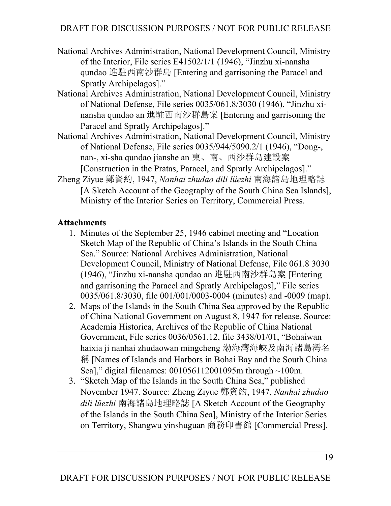- National Archives Administration, National Development Council, Ministry of the Interior, File series E41502/1/1 (1946), "Jinzhu xi-nansha qundao 進駐西南沙群島 [Entering and garrisoning the Paracel and Spratly Archipelagos]."
- National Archives Administration, National Development Council, Ministry of National Defense, File series 0035/061.8/3030 (1946), "Jinzhu xinansha qundao an 進駐西南沙群島案 [Entering and garrisoning the Paracel and Spratly Archipelagos]."
- National Archives Administration, National Development Council, Ministry of National Defense, File series 0035/944/5090.2/1 (1946), "Dong-, nan-, xi-sha qundao jianshe an 東、南、西沙群島建設案 [Construction in the Pratas, Paracel, and Spratly Archipelagos]."
- Zheng Ziyue 鄭資約, 1947, *Nanhai zhudao dili lüezhi* 南海諸島地理略誌 [A Sketch Account of the Geography of the South China Sea Islands], Ministry of the Interior Series on Territory, Commercial Press.

# **Attachments**

- 1. Minutes of the September 25, 1946 cabinet meeting and "Location Sketch Map of the Republic of China's Islands in the South China Sea." Source: National Archives Administration, National Development Council, Ministry of National Defense, File 061.8 3030 (1946), "Jinzhu xi-nansha qundao an 進駐西南沙群島案 [Entering and garrisoning the Paracel and Spratly Archipelagos]," File series 0035/061.8/3030, file 001/001/0003-0004 (minutes) and -0009 (map).
- 2. Maps of the Islands in the South China Sea approved by the Republic of China National Government on August 8, 1947 for release. Source: Academia Historica, Archives of the Republic of China National Government, File series 0036/0561.12, file 3438/01/01, "Bohaiwan haixia ji nanhai zhudaowan mingcheng 渤海灣海峽及南海諸島灣名 稱 [Names of Islands and Harbors in Bohai Bay and the South China Sea]," digital filenames: 001056112001095m through ~100m.
- 3. "Sketch Map of the Islands in the South China Sea," published November 1947. Source: Zheng Ziyue 鄭資約, 1947, *Nanhai zhudao dili lüezhi* 南海諸島地理略誌 [A Sketch Account of the Geography of the Islands in the South China Sea], Ministry of the Interior Series on Territory, Shangwu yinshuguan 商務印書館 [Commercial Press].